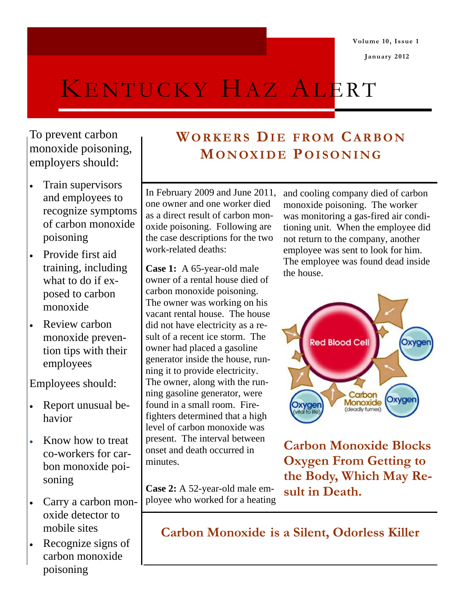**Volume 10, Issue 1** 

 **January 2012** 

# KENTUCKY HAZ ALERT

To prevent carbon monoxide poisoning, employers should:

- Train supervisors and employees to recognize symptoms of carbon monoxide poisoning
- Provide first aid training, including what to do if exposed to carbon monoxide
- Review carbon monoxide prevention tips with their employees

Employees should:

- Report unusual behavior
- Know how to treat co-workers for carbon monoxide poisoning
- Carry a carbon monoxide detector to mobile sites
- Recognize signs of carbon monoxide poisoning

# **WORKERS DIE FROM CARBON MONOXIDE POISONING**

In February 2009 and June 2011, one owner and one worker died as a direct result of carbon monoxide poisoning. Following are the case descriptions for the two work-related deaths:

**Case 1:** A 65-year-old male owner of a rental house died of carbon monoxide poisoning. The owner was working on his vacant rental house. The house did not have electricity as a result of a recent ice storm. The owner had placed a gasoline generator inside the house, running it to provide electricity. The owner, along with the running gasoline generator, were found in a small room. Firefighters determined that a high level of carbon monoxide was present. The interval between onset and death occurred in minutes.

**Case 2:** A 52-year-old male employee who worked for a heating and cooling company died of carbon monoxide poisoning. The worker was monitoring a gas-fired air conditioning unit. When the employee did not return to the company, another employee was sent to look for him. The employee was found dead inside the house.



**Carbon Monoxide Blocks Oxygen From Getting to the Body, Which May Result in Death.** 

**Carbon Monoxide is a Silent, Odorless Killer**